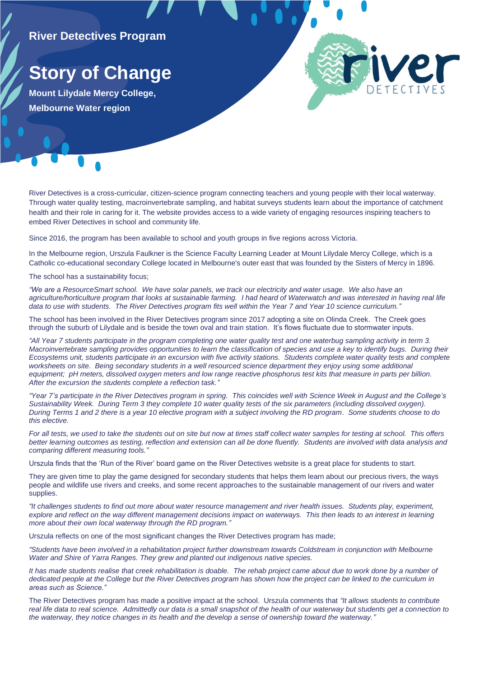## **River Detectives Program**

## **Story of Change**

**Mount Lilydale Mercy College, Melbourne Water region**

River Detectives is a cross-curricular, citizen-science program connecting teachers and young people with their local waterway. Through water quality testing, macroinvertebrate sampling, and habitat surveys students learn about the importance of catchment health and their role in caring for it. The website provides access to a wide variety of engaging resources inspiring teachers to embed River Detectives in school and community life.

Since 2016, the program has been available to school and youth groups in five regions across Victoria.

In the Melbourne region, Urszula Faulkner is the Science Faculty Learning Leader at Mount Lilydale Mercy College, which is a Catholic co-educational secondary College located in Melbourne's outer east that was founded by the Sisters of Mercy in 1896.

The school has a sustainability focus;

*"We are a ResourceSmart school. We have solar panels, we track our electricity and water usage. We also have an agriculture/horticulture program that looks at sustainable farming. I had heard of Waterwatch and was interested in having real life data to use with students. The River Detectives program fits well within the Year 7 and Year 10 science curriculum."*

The school has been involved in the River Detectives program since 2017 adopting a site on Olinda Creek. The Creek goes through the suburb of Lilydale and is beside the town oval and train station. It's flows fluctuate due to stormwater inputs.

*"All Year 7 students participate in the program completing one water quality test and one waterbug sampling activity in term 3. Macroinvertebrate sampling provides opportunities to learn the classification of species and use a key to identify bugs. During their Ecosystems unit, students participate in an excursion with five activity stations. Students complete water quality tests and complete*  worksheets on site. Being secondary students in a well resourced science department they enjoy using some additional *equipment; pH meters, dissolved oxygen meters and low range reactive phosphorus test kits that measure in parts per billion. After the excursion the students complete a reflection task."*

*"Year 7's participate in the River Detectives program in spring. This coincides well with Science Week in August and the College's Sustainability Week. During Term 3 they complete 10 water quality tests of the six parameters (including dissolved oxygen). During Terms 1 and 2 there is a year 10 elective program with a subject involving the RD program*. *Some students choose to do this elective.* 

*For all tests, we used to take the students out on site but now at times staff collect water samples for testing at school. This offers better learning outcomes as testing, reflection and extension can all be done fluently. Students are involved with data analysis and comparing different measuring tools."*

Urszula finds that the 'Run of the River' board game on the River Detectives website is a great place for students to start.

They are given time to play the game designed for secondary students that helps them learn about our precious rivers, the ways people and wildlife use rivers and creeks, and some recent approaches to the sustainable management of our rivers and water supplies.

*"It challenges students to find out more about water resource management and river health issues. Students play, experiment, explore and reflect on the way different management decisions impact on waterways. This then leads to an interest in learning more about their own local waterway through the RD program."*

Urszula reflects on one of the most significant changes the River Detectives program has made;

*"Students have been involved in a rehabilitation project further downstream towards Coldstream in conjunction with Melbourne Water and Shire of Yarra Ranges. They grew and planted out indigenous native species.* 

*It has made students realise that creek rehabilitation is doable. The rehab project came about due to work done by a number of dedicated people at the College but the River Detectives program has shown how the project can be linked to the curriculum in areas such as Science."*

The River Detectives program has made a positive impact at the school. Urszula comments that *"It allows students to contribute*  real life data to real science. Admittedly our data is a small snapshot of the health of our waterway but students get a connection to *the waterway, they notice changes in its health and the develop a sense of ownership toward the waterway."*